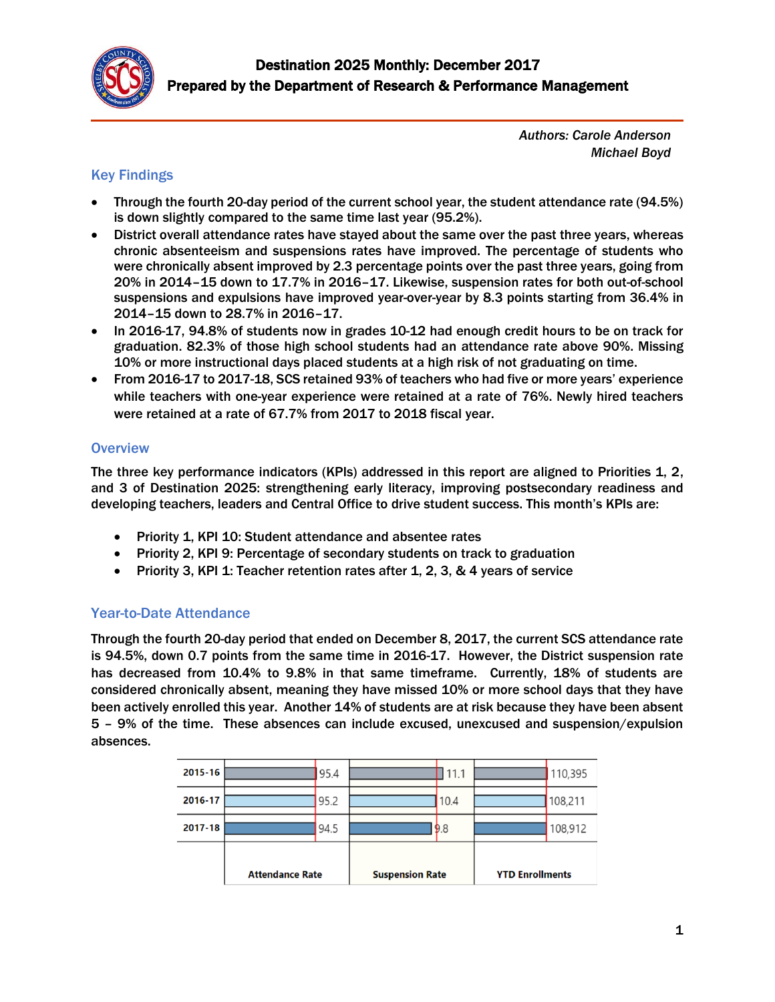

*Authors: Carole Anderson Michael Boyd* 

#### Key Findings

- Through the fourth 20-day period of the current school year, the student attendance rate (94.5%) is down slightly compared to the same time last year (95.2%).
- District overall attendance rates have stayed about the same over the past three years, whereas chronic absenteeism and suspensions rates have improved. The percentage of students who were chronically absent improved by 2.3 percentage points over the past three years, going from 20% in 2014–15 down to 17.7% in 2016–17. Likewise, suspension rates for both out-of-school suspensions and expulsions have improved year-over-year by 8.3 points starting from 36.4% in 2014–15 down to 28.7% in 2016–17.
- In 2016-17, 94.8% of students now in grades 10-12 had enough credit hours to be on track for graduation. 82.3% of those high school students had an attendance rate above 90%. Missing 10% or more instructional days placed students at a high risk of not graduating on time.
- From 2016-17 to 2017-18, SCS retained 93% of teachers who had five or more years' experience while teachers with one-year experience were retained at a rate of 76%. Newly hired teachers were retained at a rate of 67.7% from 2017 to 2018 fiscal year.

#### **Overview**

The three key performance indicators (KPIs) addressed in this report are aligned to Priorities 1, 2, and 3 of Destination 2025: strengthening early literacy, improving postsecondary readiness and developing teachers, leaders and Central Office to drive student success. This month's KPIs are:

- Priority 1, KPI 10: Student attendance and absentee rates
- Priority 2, KPI 9: Percentage of secondary students on track to graduation
- Priority 3, KPI 1: Teacher retention rates after 1, 2, 3, & 4 years of service

#### Year-to-Date Attendance

Through the fourth 20-day period that ended on December 8, 2017, the current SCS attendance rate is 94.5%, down 0.7 points from the same time in 2016-17. However, the District suspension rate has decreased from 10.4% to 9.8% in that same timeframe. Currently, 18% of students are considered chronically absent, meaning they have missed 10% or more school days that they have been actively enrolled this year. Another 14% of students are at risk because they have been absent 5 – 9% of the time. These absences can include excused, unexcused and suspension/expulsion absences.

|         | <b>Attendance Rate</b> |      | <b>Suspension Rate</b> |      | <b>YTD Enrollments</b> |         |
|---------|------------------------|------|------------------------|------|------------------------|---------|
| 2017-18 |                        | 94.5 |                        | 9.8  |                        | 108,912 |
| 2016-17 |                        | 95.2 |                        | 10.4 |                        | 108,211 |
| 2015-16 |                        | 95.4 |                        | 11.1 |                        | 110,395 |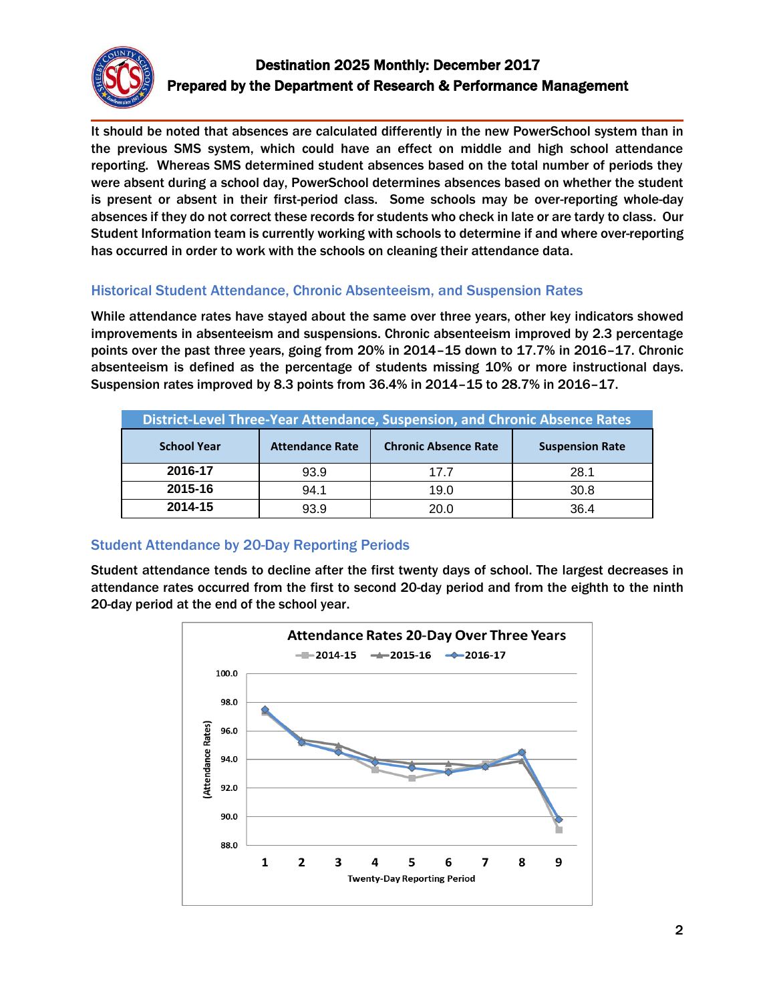

## Destination 2025 Monthly: December 2017 Prepared by the Department of Research & Performance Management

It should be noted that absences are calculated differently in the new PowerSchool system than in the previous SMS system, which could have an effect on middle and high school attendance reporting. Whereas SMS determined student absences based on the total number of periods they were absent during a school day, PowerSchool determines absences based on whether the student is present or absent in their first-period class. Some schools may be over-reporting whole-day absences if they do not correct these records for students who check in late or are tardy to class. Our Student Information team is currently working with schools to determine if and where over-reporting has occurred in order to work with the schools on cleaning their attendance data.

#### Historical Student Attendance, Chronic Absenteeism, and Suspension Rates

While attendance rates have stayed about the same over three years, other key indicators showed improvements in absenteeism and suspensions. Chronic absenteeism improved by 2.3 percentage points over the past three years, going from 20% in 2014–15 down to 17.7% in 2016–17. Chronic absenteeism is defined as the percentage of students missing 10% or more instructional days. Suspension rates improved by 8.3 points from 36.4% in 2014–15 to 28.7% in 2016–17.

| District-Level Three-Year Attendance, Suspension, and Chronic Absence Rates |                        |                             |                        |  |  |
|-----------------------------------------------------------------------------|------------------------|-----------------------------|------------------------|--|--|
| <b>School Year</b>                                                          | <b>Attendance Rate</b> | <b>Chronic Absence Rate</b> | <b>Suspension Rate</b> |  |  |
| 2016-17                                                                     | 93.9                   | 17 7                        | 28.1                   |  |  |
| 2015-16                                                                     | 94.1                   | 19.0                        | 30.8                   |  |  |
| 2014-15                                                                     | 93.9                   | 20.0                        | 36.4                   |  |  |

#### Student Attendance by 20-Day Reporting Periods

Student attendance tends to decline after the first twenty days of school. The largest decreases in attendance rates occurred from the first to second 20-day period and from the eighth to the ninth 20-day period at the end of the school year.

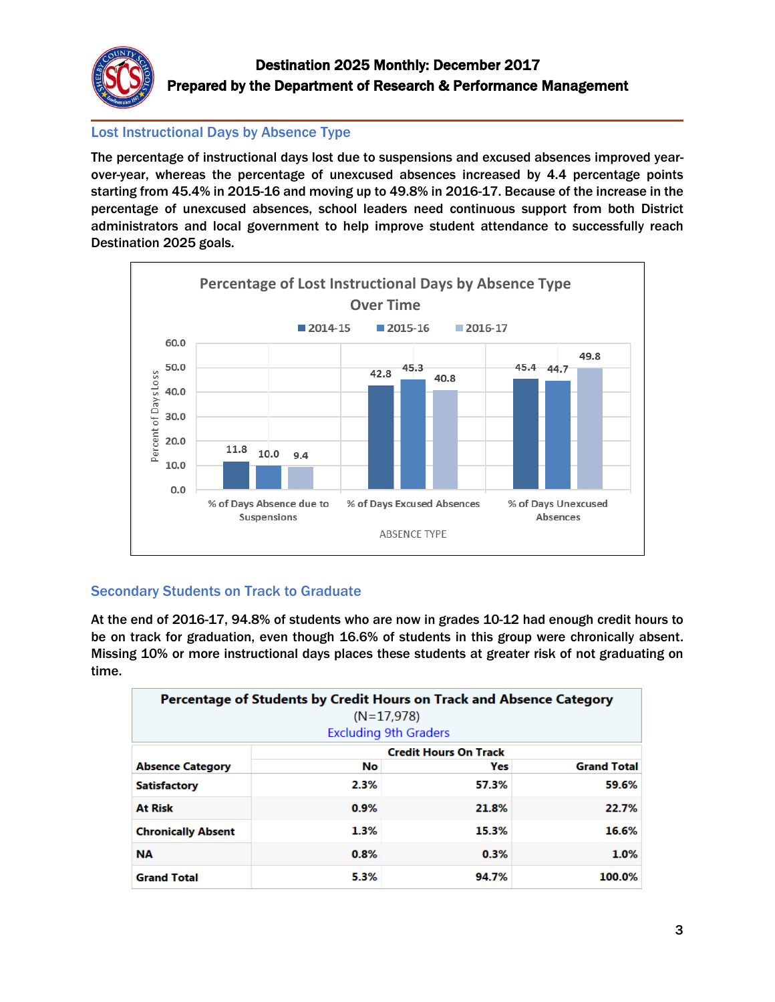

#### Lost Instructional Days by Absence Type

The percentage of instructional days lost due to suspensions and excused absences improved yearover-year, whereas the percentage of unexcused absences increased by 4.4 percentage points starting from 45.4% in 2015-16 and moving up to 49.8% in 2016-17. Because of the increase in the percentage of unexcused absences, school leaders need continuous support from both District administrators and local government to help improve student attendance to successfully reach Destination 2025 goals.



### Secondary Students on Track to Graduate

At the end of 2016-17, 94.8% of students who are now in grades 10-12 had enough credit hours to be on track for graduation, even though 16.6% of students in this group were chronically absent. Missing 10% or more instructional days places these students at greater risk of not graduating on time.

|                           | Percentage of Students by Credit Hours on Track and Absence Category<br>$(N=17,978)$<br><b>Excluding 9th Graders</b> |                              |                    |  |
|---------------------------|----------------------------------------------------------------------------------------------------------------------|------------------------------|--------------------|--|
|                           |                                                                                                                      | <b>Credit Hours On Track</b> |                    |  |
| <b>Absence Category</b>   | No                                                                                                                   | Yes                          | <b>Grand Total</b> |  |
| <b>Satisfactory</b>       | 2.3%                                                                                                                 | 57.3%                        | 59.6%              |  |
| <b>At Risk</b>            | 0.9%                                                                                                                 | 21.8%                        | 22.7%              |  |
| <b>Chronically Absent</b> | 1.3%                                                                                                                 | 15.3%                        | 16.6%              |  |
| <b>NA</b>                 | 0.8%                                                                                                                 | 0.3%                         | 1.0%               |  |
| <b>Grand Total</b>        | 5.3%                                                                                                                 | 94.7%                        | 100.0%             |  |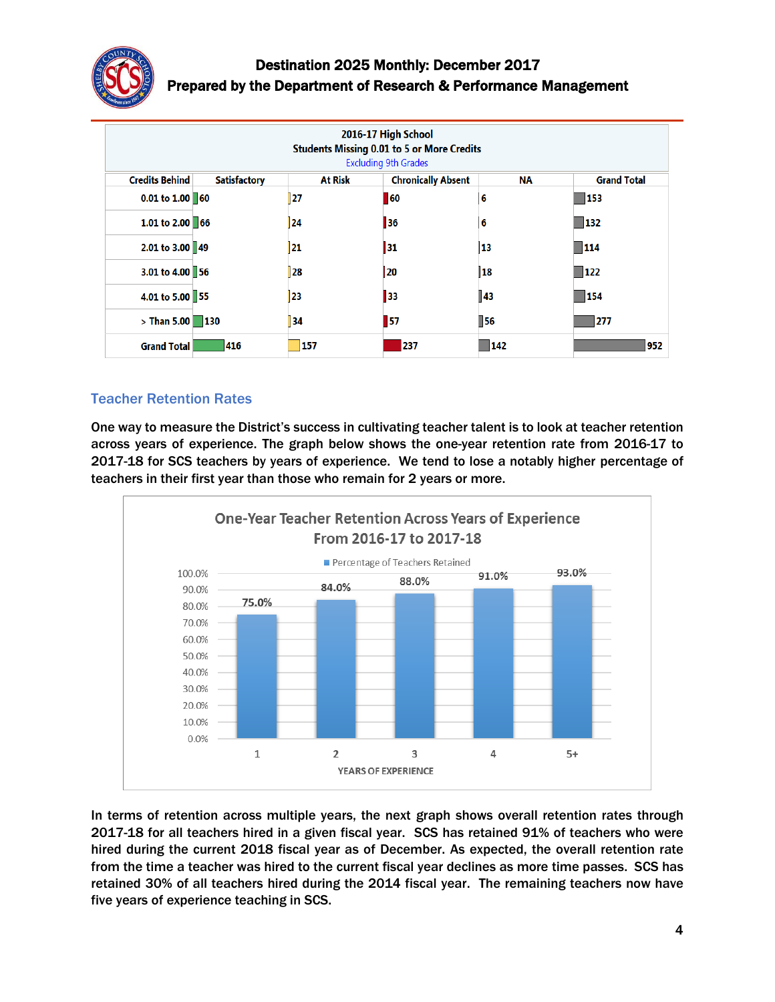

# Destination 2025 Monthly: December 2017 Prepared by the Department of Research & Performance Management

| 2016-17 High School<br><b>Students Missing 0.01 to 5 or More Credits</b><br><b>Excluding 9th Grades</b> |                     |                |                           |                    |                    |
|---------------------------------------------------------------------------------------------------------|---------------------|----------------|---------------------------|--------------------|--------------------|
| <b>Credits Behind</b>                                                                                   | <b>Satisfactory</b> | <b>At Risk</b> | <b>Chronically Absent</b> | <b>NA</b>          | <b>Grand Total</b> |
| $0.01$ to $1.00$ 60                                                                                     |                     | 27             | 60                        | 6                  | 153                |
| 1.01 to 2.00 66                                                                                         |                     | 24             | 36                        | 6                  | $\blacksquare$ 132 |
| 2.01 to 3.00 49                                                                                         |                     | 21             | 31                        | 13                 | 114                |
| 3.01 to 4.00 56                                                                                         |                     | 28             | 20                        | 18                 | $\vert$ 122        |
| 4.01 to 5.00 55                                                                                         |                     | 23             | 33                        | 143                | 154                |
| $>$ Than 5.00                                                                                           | $\blacksquare$ 130  | 34             | 57                        | $\blacksquare$ 56  | 277                |
| <b>Grand Total</b>                                                                                      | 416                 | 157            | 237                       | $\blacksquare$ 142 | 952                |

#### Teacher Retention Rates

One way to measure the District's success in cultivating teacher talent is to look at teacher retention across years of experience. The graph below shows the one-year retention rate from 2016-17 to 2017-18 for SCS teachers by years of experience. We tend to lose a notably higher percentage of teachers in their first year than those who remain for 2 years or more.



In terms of retention across multiple years, the next graph shows overall retention rates through 2017-18 for all teachers hired in a given fiscal year. SCS has retained 91% of teachers who were hired during the current 2018 fiscal year as of December. As expected, the overall retention rate from the time a teacher was hired to the current fiscal year declines as more time passes. SCS has retained 30% of all teachers hired during the 2014 fiscal year. The remaining teachers now have five years of experience teaching in SCS.